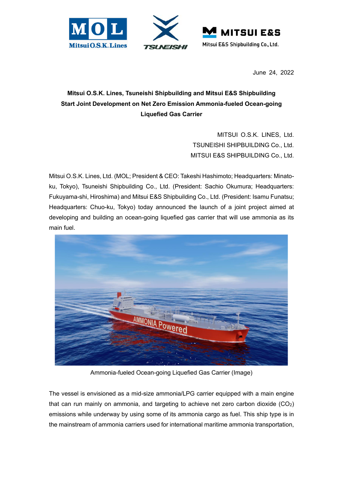





June 24, 2022

## **Mitsui O.S.K. Lines, Tsuneishi Shipbuilding and Mitsui E&S Shipbuilding Start Joint Development on Net Zero Emission Ammonia-fueled Ocean-going Liquefied Gas Carrier**

MITSUI O.S.K. LINES, Ltd. TSUNEISHI SHIPBUILDING Co., Ltd. MITSUI E&S SHIPBUILDING Co., Ltd.

Mitsui O.S.K. Lines, Ltd. (MOL; President & CEO: Takeshi Hashimoto; Headquarters: Minatoku, Tokyo), Tsuneishi Shipbuilding Co., Ltd. (President: Sachio Okumura; Headquarters: Fukuyama-shi, Hiroshima) and Mitsui E&S Shipbuilding Co., Ltd. (President: Isamu Funatsu; Headquarters: Chuo-ku, Tokyo) today announced the launch of a joint project aimed at developing and building an ocean-going liquefied gas carrier that will use ammonia as its main fuel.



Ammonia-fueled Ocean-going Liquefied Gas Carrier (Image)

The vessel is envisioned as a mid-size ammonia/LPG carrier equipped with a main engine that can run mainly on ammonia, and targeting to achieve net zero carbon dioxide  $(CO<sub>2</sub>)$ emissions while underway by using some of its ammonia cargo as fuel. This ship type is in the mainstream of ammonia carriers used for international maritime ammonia transportation,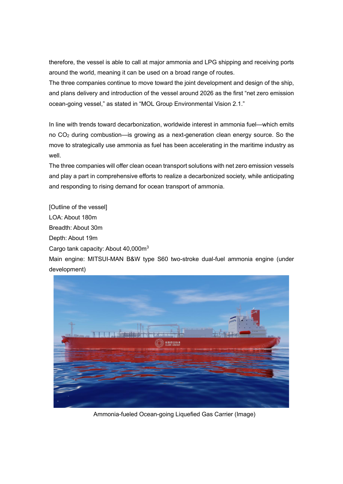therefore, the vessel is able to call at major ammonia and LPG shipping and receiving ports around the world, meaning it can be used on a broad range of routes.

The three companies continue to move toward the joint development and design of the ship, and plans delivery and introduction of the vessel around 2026 as the first "net zero emission ocean-going vessel," as stated in "MOL Group Environmental Vision 2.1."

In line with trends toward decarbonization, worldwide interest in ammonia fuel—which emits no CO<sub>2</sub> during combustion—is growing as a next-generation clean energy source. So the move to strategically use ammonia as fuel has been accelerating in the maritime industry as well.

The three companies will offer clean ocean transport solutions with net zero emission vessels and play a part in comprehensive efforts to realize a decarbonized society, while anticipating and responding to rising demand for ocean transport of ammonia.

[Outline of the vessel]

LOA: About 180m

Breadth: About 30m

Depth: About 19m

Cargo tank capacity: About 40,000m<sup>3</sup>

Main engine: MITSUI-MAN B&W type S60 two-stroke dual-fuel ammonia engine (under development)



Ammonia-fueled Ocean-going Liquefied Gas Carrier (Image)